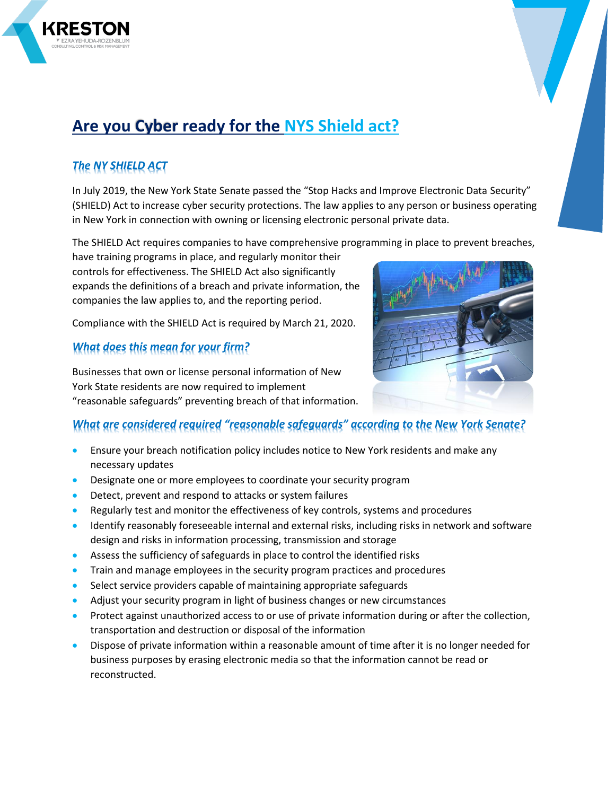# **Are you Cyber ready for the NYS Shield act?**

# *The NY SHIELD ACT*

In July 2019, the New York State Senate passed the "Stop Hacks and Improve Electronic Data Security" (SHIELD) Act to increase cyber security protections. The law applies to any person or business operating in New York in connection with owning or licensing electronic personal private data.

The SHIELD Act requires companies to have comprehensive programming in place to prevent breaches,

have training programs in place, and regularly monitor their controls for effectiveness. The SHIELD Act also significantly expands the definitions of a breach and private information, the companies the law applies to, and the reporting period.

Compliance with the SHIELD Act is required by March 21, 2020.

# *What does this mean for your firm?*

Businesses that own or license personal information of New York State residents are now required to implement "reasonable safeguards" preventing breach of that information.

## *What are considered required "reasonable safeguards" according to the New York Senate?*

- Ensure your breach notification policy includes notice to New York residents and make any necessary updates
- Designate one or more employees to coordinate your security program
- Detect, prevent and respond to attacks or system failures
- Regularly test and monitor the effectiveness of key controls, systems and procedures
- Identify reasonably foreseeable internal and external risks, including risks in network and software design and risks in information processing, transmission and storage
- Assess the sufficiency of safeguards in place to control the identified risks
- Train and manage employees in the security program practices and procedures
- Select service providers capable of maintaining appropriate safeguards
- Adjust your security program in light of business changes or new circumstances
- Protect against unauthorized access to or use of private information during or after the collection, transportation and destruction or disposal of the information
- Dispose of private information within a reasonable amount of time after it is no longer needed for business purposes by erasing electronic media so that the information cannot be read or reconstructed.